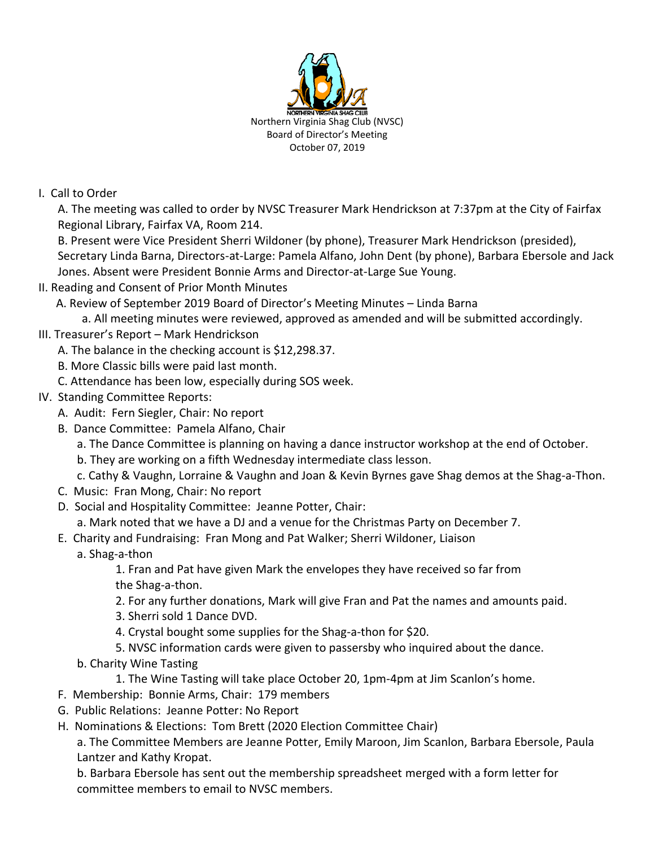

## I. Call to Order

A. The meeting was called to order by NVSC Treasurer Mark Hendrickson at 7:37pm at the City of Fairfax Regional Library, Fairfax VA, Room 214.

B. Present were Vice President Sherri Wildoner (by phone), Treasurer Mark Hendrickson (presided), Secretary Linda Barna, Directors-at-Large: Pamela Alfano, John Dent (by phone), Barbara Ebersole and Jack Jones. Absent were President Bonnie Arms and Director-at-Large Sue Young.

II. Reading and Consent of Prior Month Minutes

A. Review of September 2019 Board of Director's Meeting Minutes – Linda Barna

a. All meeting minutes were reviewed, approved as amended and will be submitted accordingly.

- III. Treasurer's Report Mark Hendrickson
	- A. The balance in the checking account is \$12,298.37.
	- B. More Classic bills were paid last month.
	- C. Attendance has been low, especially during SOS week.
- IV. Standing Committee Reports:
	- A. Audit: Fern Siegler, Chair: No report
	- B. Dance Committee: Pamela Alfano, Chair
		- a. The Dance Committee is planning on having a dance instructor workshop at the end of October.
		- b. They are working on a fifth Wednesday intermediate class lesson.
		- c. Cathy & Vaughn, Lorraine & Vaughn and Joan & Kevin Byrnes gave Shag demos at the Shag-a-Thon.
	- C. Music: Fran Mong, Chair: No report
	- D. Social and Hospitality Committee: Jeanne Potter, Chair:
		- a. Mark noted that we have a DJ and a venue for the Christmas Party on December 7.
	- E. Charity and Fundraising: Fran Mong and Pat Walker; Sherri Wildoner, Liaison
		- a. Shag-a-thon

1. Fran and Pat have given Mark the envelopes they have received so far from the Shag-a-thon.

- 2. For any further donations, Mark will give Fran and Pat the names and amounts paid.
- 3. Sherri sold 1 Dance DVD.
- 4. Crystal bought some supplies for the Shag-a-thon for \$20.
- 5. NVSC information cards were given to passersby who inquired about the dance.
- b. Charity Wine Tasting
	- 1. The Wine Tasting will take place October 20, 1pm-4pm at Jim Scanlon's home.
- F. Membership: Bonnie Arms, Chair: 179 members
- G. Public Relations: Jeanne Potter: No Report
- H. Nominations & Elections: Tom Brett (2020 Election Committee Chair)

a. The Committee Members are Jeanne Potter, Emily Maroon, Jim Scanlon, Barbara Ebersole, Paula Lantzer and Kathy Kropat.

b. Barbara Ebersole has sent out the membership spreadsheet merged with a form letter for committee members to email to NVSC members.